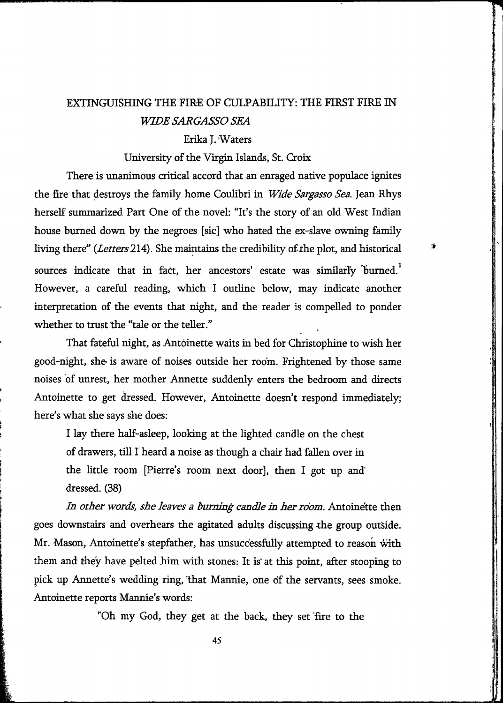# EXTINGUISHING THE FIRE OF CULPABILITY: THE FIRST FIRE IN *WIDE SARGASSO SEA*

## Erika J. Waters

#### University of the Virgin Islands, St. Croix

There is unanimous critical accord that an enraged native populace ignites the fire that destroys the family home Coulibri in *Wide Sargasso Sea.* Jean Rhys herself summarized Part One of the novel: "It's the story of an old West Indian house burned down by the negroes [sic] who hated the ex-slave ovming family living there" (*Letters* 214). She maintains the credibility of the plot, and historical sources indicate that in fact, her ancestors' estate was similarly burned.<sup>1</sup> However, a careful reading, which I outline below, may indicate another interpretation of the events that night, and the reader is compelled to ponder whether to trust the "tale or the teller."

That fateful night, as Antoinette waits in bed for Christophine to wish her good-night, she is aware of noises outside her room. Frightened by those same noises of unrest, her mother Annette suddenly enters the bedroom and directs Antoinette to get dressed. However, Antoinette doesn't respond immediately; here's what she says she does:

I lay there half-asleep, looking at the lighted candle on the chest of drawers, tiU I heard a noise as though a chair had fallen over in the little room [Pierre's room next door], then I got up and dressed. (38)

*In other words, she leaves a burning candle in her room.* Antoine'tte then goes downstairs and overhears the agitated adults discussing the group outside. Mr. Mason, Antoinette's stepfather, has unsuccessfully attempted to reason with them and they have pelted him with stones: It is at this point, after stooping to pick up Annette's wedding ring, that Mannie, one of the servants, sees smoke. Antoinette reports Mannie's words:

"Oh my God, they get at the back, they set fire to the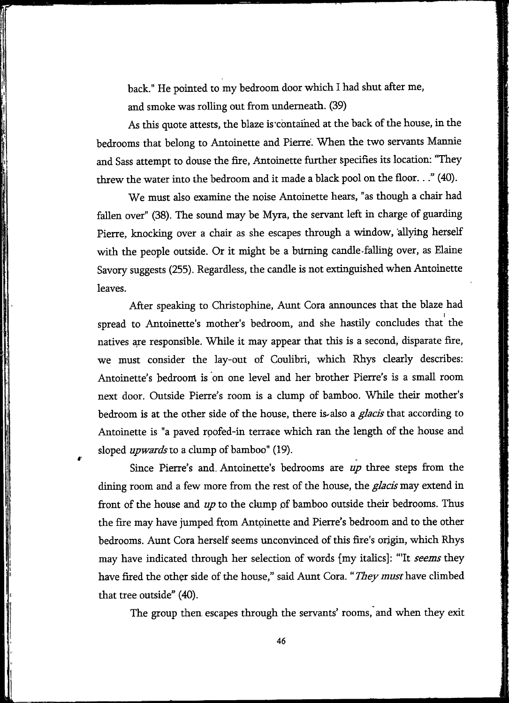back." He pointed to my bedroom door which I had shut after me, and smoke was rolling out from imdemeath. (39)

As this quote attests, the blaze is contained at the back of the house, in the bedrooms that belong to Antoinette and Pierre. When the two servants Mannie and Sass attempt to douse the ñre, Antoinette further Specifies its location: "They threw the water into the bedroom and it made a black pool on the floor..." (40).

We must also examine the noise Antoinette hears, "as though a chair had fallen over" (38). The sound may be Myra, the servant left in charge of guarding Pierre, knocking over a chair as she escapes through a window, allying herself with the people outside. Or it might be a büming candle-falling over, as Elaine Savory suggests (255). Regardless, the candle is not extinguished when Antoinette leaves.

After speaking to Christophine, Aunt Cora announces that the blaze had spread to Antoinette's mother's bedroom, and she hastily concludes that the natives are responsible. While it may appear that this is a second, disparate fire, we must consider the lay-out of Coulibri, which Rhys clearly describes: Antoinette's bedroom is on one level and her brother Pierre's is a small room next door. Outside Pierre's room is a clump of bamboo. While their mother's bedroom is at the other side of the house, there is^also a *glacis* that according to Antoinette is "a paved roofed-in terrace which ran the length of the house and sloped *upwards lo* a clump of bamboo" (19).

Since Pierre's and. Antoinette's bedrooms are *up* three steps from the dining room and a few more from the rest of the house, the *glacis* may extend in front of the house and *up* to the clump pf bamboo outside their bedrooms. Thus the fire may have jumped from Antoinette and Pierre's bedroom and to the other bedrooms. Aunt Cora herself seems unconvinced of this fire's origin, which Rhys may have indicated through her selection of words (my italics]: "'It *seems* they have fired the other side of the house," said Aunt Cora. "*They must* have climbed that tree outside" (40).

The group then escapes through the servants' rooms, and when they exit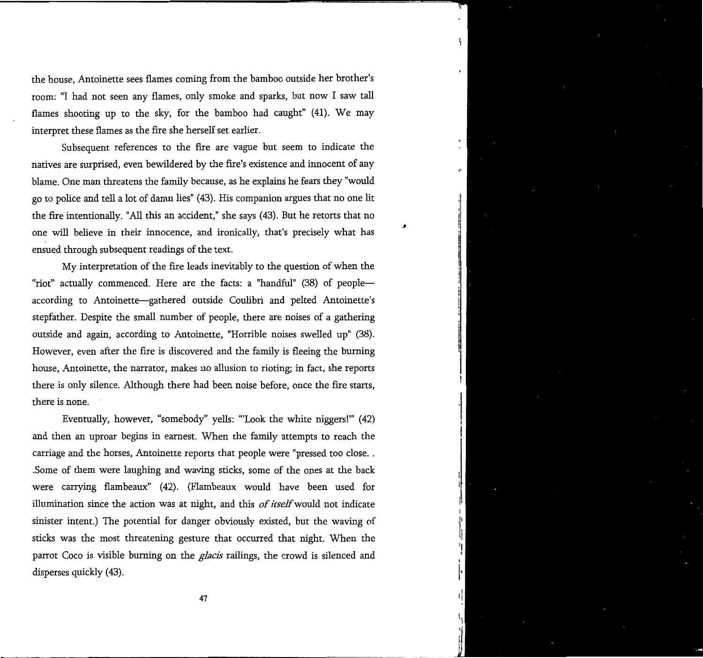the house, Antoinette sees flames coming from the bamboo outside her brother's room: "I had not seen any flames, only smoke and sparks, but now I saw tall flames shooting up to the sky, for the bamboo had caught" (41). We may interpret these flames as the fire she herself set earlier.

ţ

I

s

Subsequent references to the fire are vague but seem to indicate the natives are surprised, even bewildered by the fire's existence and innocent of any blame. One man threatens the family because, as he **explains** he fears they "would go to police and tell a lot of damn lies" (43). His companion argues that no one lit the fire intentionally. "All this an accident," she says (43). But he retorts that no one wiU beheve in their innocence, and ironically, that's precisely what has ensued through subsequent readings of the text.

My interpretation of the fire leads inevitably to the question of when the "riot" actually commenced. Here are the facts: a "handful" (38) of people according to Antoinette—^gathered outside Coulibri and pelted Antoinette's stepfather. Despite the small number of people, there are noises of a gathering outside and again, according to Antoinette, "Horrible noises swelled up" (38). However, even after the fire is discovered and the family is fleeing the burning house, Antoinette, the narrator, makes no allusion to rioting; in fact, she reports there is only silence. Although there had been noise before, once the fire starts, there is none.

Eventually, however, "somebody" yells: "'Look the white niggers!"' (42) and then an uproar begins in earnest. When the family attempts to reach the carriage and the horses, Antoinette reports that people were "pressed too close. . .Some of them were laughing and waving sticks, some of the ones at the back were carrying flambeaux" (42). (Flambeaux would have been used for illumination since the action was at night, and this *of itself* would not indicate sinister intent.) The potential for danger obviously existed, but the waving of sticks was the most threatening gesture that occurred that night. When the parrot Coco is visible biuning on the *glacis* railings, the crowd is silenced and disperses quickly (43).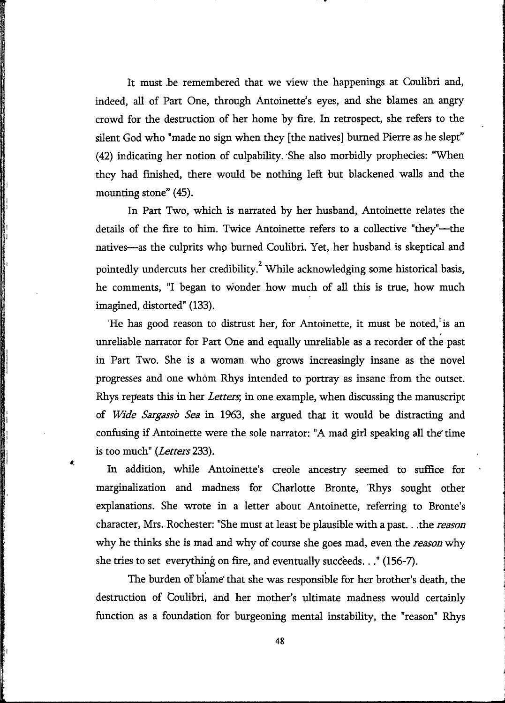It must be remembered that we view the happenings at Coulibri and, indeed, all of Part One, through Antoinette's eyes, and she blames an angry crowd for the destruction of her home by fire. In retrospect, she refers to the süent God who "made no sign when they [the natives] burned Pierre as he slept" (42) indicating her notion of culpability. She also morbidly prophecies: ^'When they had finished, there would be nothing left but blackened walls and the mounting stone" (45).

In Part Two, which is narrated by her husband, Antoinette relates the details of the fire to him. Twice Antoinette refers to a collective "they"—the natives—as the culprits who burned Coulibri. Yet, her husband is skeptical and pointedly undercuts her credibility.<sup>2</sup> While acknowledging some historical basis, he comments, "I began to wonder how much of all this is true, how much imagined, distorted" (133).

He has good reason to distrust her, for Antoinette, it must be noted, is an unreliable narrator for Part One and equally unreliable as a recorder of the past in Part Two. She is a woman who grows increasingly insane as the novel progresses and one whom Rhys intended to portray as insane from the outset. Rhys repeats this in her *Letters;* in one example, when discussing the manuscript of *Wide Sargasso Sea* in 1963, she argued that it would be distracting and confusing if Antoinette were the sole narrator: "A mad girl speaking all the time is too much" (Letters 233).

In addition, while Antoinette's creole ancestry seemed to suffice for marginalization and madness for Charlotte Bronte, Rhys sought other explanations. She wrote in a letter about Antoinette, referring to Bronte's character, Mrs. Rochester: "She must at least be plausible with a past.. .the *reason*  why he thinks she is mad and why of course she goes mad, even the *reason* why she tries to set everything on fire, and eventually succeeds..." (156-7).

 $\mathbf{r}$ 

The burden of blame' that she was responsible for her brother's death, the destruction of Coulibri, and her mother's ultimate madness would certainly function as a foundation for burgeoning mental instability, the "reason" Rhys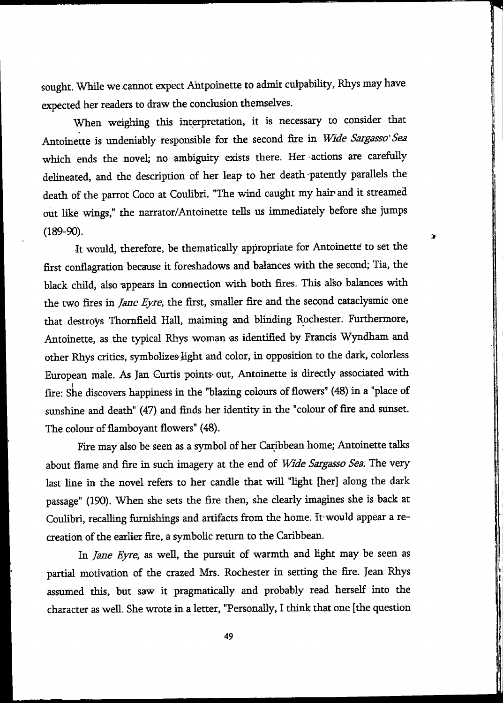sought. While we cannot expect Antpoinette to admit culpability, Rhys may have expected her readers to draw the conclusion themselves.

When weighing this interpretation, it is necessary to consider that Antoinette is undeniably responsible for the second fire in *Wide Sargasso'Sea*  which ends the novel; no ambiguity exists there. Her actions are carefully delineated, and the description of her leap to her death patently parallels the death of the parrot Coco at Coulibri. "The wind caught my hair» and it streamed out like wings," the narrator/Antoinette tells us immediately before she jumps (189-90).

Þ

It would, therefore, be thematically appropriate for Antoinetté to set the first conflagration because it foreshadows and balances with the second; Tia, the black child, also appears in cormection with both fires. This also balances with the two fires in *Jane Eyre,* the first, smaller fire and the second cataclysmic one that destroys Thornfield Hall, maiming and blinding Rochester. Furthermore, Antoinette, as the typical Rhys woman as identified by Francis Wyndham and other Rhys critics, symbolizes-iight and color, in opposition to the dark, colorless European male. As Jan Curtis points out, Antoinette is directly associated with fire: She discovers happiness in the "blazing colours of flowers" (48) in a "place of sunshine and death" (47) and finds her identity in the "colour of fire and sunset. The colour of flamboyant flowers" (48).

Fire may also be seen as a symbol of her Caribbean home; Antoinette talks about flame and fire in such imagery at the end of *Wide Sargasso Sea.* The very last line in the novel refers to her candle that wiU "light [her] along the dark passage" (190). When she sets the fire then, she clearly imagines she is back at Coulibri, recalling furnishings and artifacts from the home. It would appear a recreation of the earlier fire, a symbolic return to the Caribbean.

In *Jane Eyre,* as well, the pursuit of warmth and light may be seen as partial motivation of the crazed Mrs. Rochester in setting the fire. Jean Rhys assumed this, but saw it pragmatically and probably read herself into the character as well. She wrote in a letter, "Personally, I think that one [the question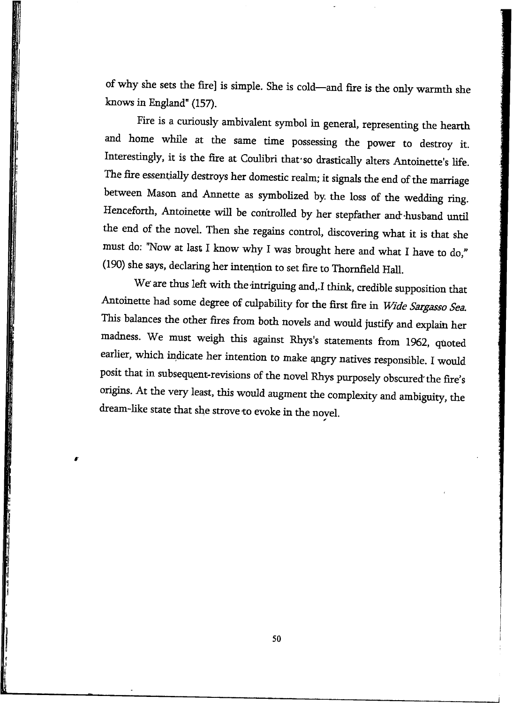of why she sets the fire] is simple. She is cold—and fire is the only warmth she knows in England" (157).

Fire is a curiously ambivalent symbol in general, representing the hearth and home whüe at the same time possessing the power to destroy it. Interestingly, it is the fire at Coulibri that so drastically alters Antoinette's life. The fire essentially destroys her domestic realm; it signals the end of the marriage between Mason and Annette as symbolized by the loss of the wedding ring. Henceforth, Antoinette will be controlled by her stepfather and-husband until the end of the novel. Then she regains control, discovering what it is that she must do: "Now at last I know why I was brought here and what I have to do," (190) she says, declaring her intention to set fire to Thomfield Hall.

We are thus left with the intriguing and,.I think, credible supposition that Antoinette had some degree of culpability for the first fire in *Wide Sargasso Sea*. This balances the other fires firom both novels and would justify and explain her madness. We must weigh this against Rhys's statements from 1962, quoted earlier, which indicate her intention to make angry natives responsible. I would posit that in subsequent-revisions of the novel Rhys purposely obscured'the fire's origins. At the very least, this would augment the complexity and ambiguity, the dream-like state that she strove to evoke in the novel.